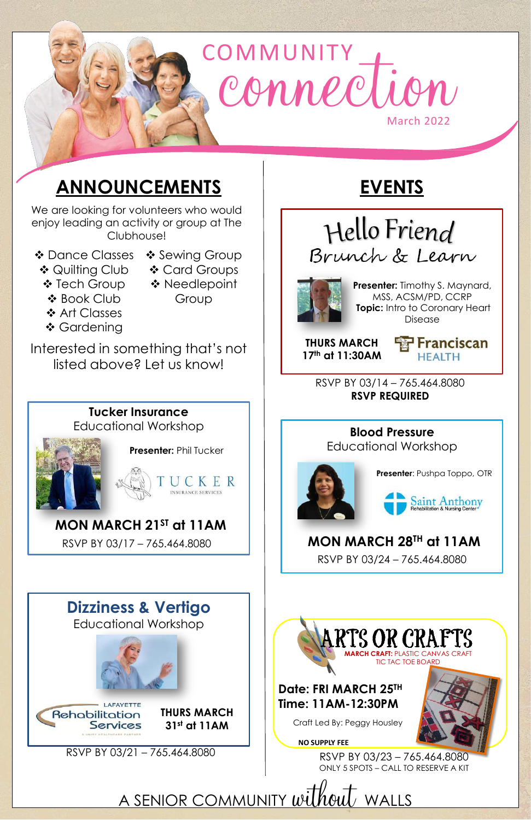# OMMUNITY March 2022  $\mathcal{U}(\mathcal{C})$

## **ANNOUNCEMENTS**

- Dance Classes Sewing Group
- 
- ❖ Quilting Club ❖ Tech Group
- ◆ Card Groups
	- ❖ Book Club
- ◆ Needlepoint Group
- ❖ Art Classes
- ❖ Gardening

We are looking for volunteers who would enjoy leading an activity or group at The Clubhouse!

Interested in something that's not listed above? Let us know!

> RSVP BY 03/14 – 765.464.8080 **RSVP REQUIRED**

**THURS MARCH 17th at 11:30AM**



**ARTS OR CRAFTS MARCH CRAFT:** PLASTIC CANVAS CRAFT TIC TAC TOE BOARD

**Presenter:** Timothy S. Maynard, MSS, ACSM/PD, CCRP **Topic:** Intro to Coronary Heart Disease



Hello Friend Brunch & Learn



**Presenter**: Pushpa Toppo, OTR



**Blood Pressure** Educational Workshop



**MON MARCH 28TH at 11AM** RSVP BY 03/24 – 765.464.8080





## **Dizziness & Vertigo**

## Educational Workshop

#### RSVP BY 03/21 – 765.464.8080

## **MON MARCH 21ST at 11AM**

#### **Tucker Insurance**  Educational Workshop

RSVP BY 03/17 – 765.464.8080



## **Date: FRI MARCH 25TH Time: 11AM-12:30PM**

RSVP BY 03/23 – 765.464.8080 ONLY 5 SPOTS – CALL TO RESERVE A KIT

A SENIOR COMMUNITY without WALLS

#### **NO SUPPLY FEE**

Craft Led By: Peggy Housley